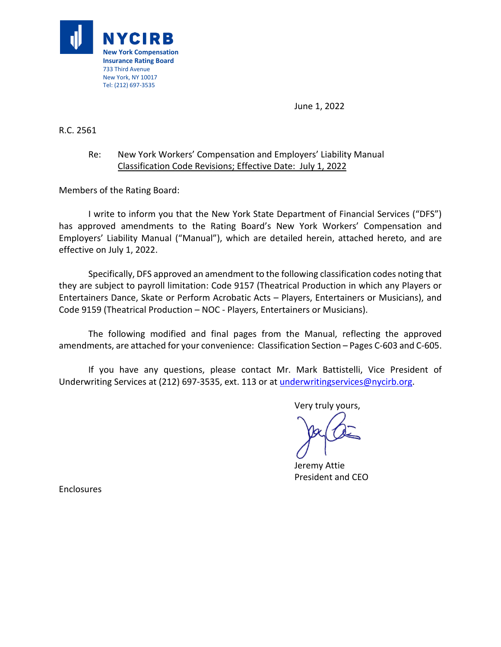

June 1, 2022

R.C. 2561

# Re: New York Workers' Compensation and Employers' Liability Manual Classification Code Revisions; Effective Date: July 1, 2022

Members of the Rating Board:

I write to inform you that the New York State Department of Financial Services ("DFS") has approved amendments to the Rating Board's New York Workers' Compensation and Employers' Liability Manual ("Manual"), which are detailed herein, attached hereto, and are effective on July 1, 2022.

Specifically, DFS approved an amendment to the following classification codes noting that they are subject to payroll limitation: Code 9157 (Theatrical Production in which any Players or Entertainers Dance, Skate or Perform Acrobatic Acts – Players, Entertainers or Musicians), and Code 9159 (Theatrical Production – NOC - Players, Entertainers or Musicians).

The following modified and final pages from the Manual, reflecting the approved amendments, are attached for your convenience: Classification Section – Pages C-603 and C-605.

If you have any questions, please contact Mr. Mark Battistelli, Vice President of Underwriting Services at (212) 697-3535, ext. 113 or at [underwritingservices@nycirb.org.](mailto:underwritingservices@nycirb.org)

Very truly yours,

Jeremy Attie President and CEO

Enclosures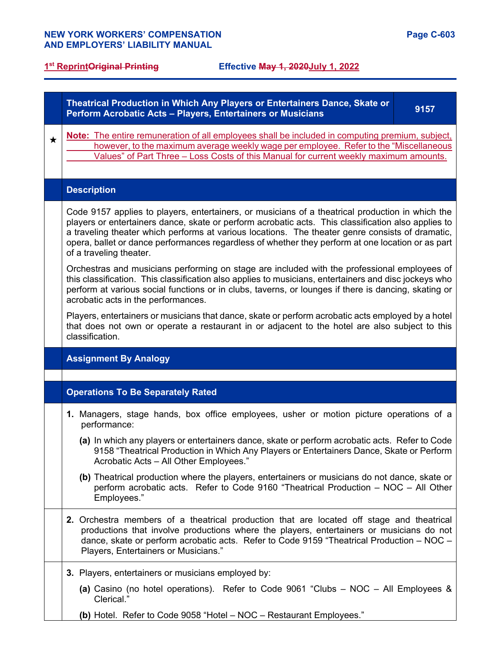### **NEW YORK WORKERS' COMPENSATION COMPRESS AND RESOLUTION CONSUMING A Page C-603 AND EMPLOYERS' LIABILITY MANUAL**

|         | Theatrical Production in Which Any Players or Entertainers Dance, Skate or<br>9157<br>Perform Acrobatic Acts - Players, Entertainers or Musicians                                                                                                                                                                                                                                                                                           |  |  |
|---------|---------------------------------------------------------------------------------------------------------------------------------------------------------------------------------------------------------------------------------------------------------------------------------------------------------------------------------------------------------------------------------------------------------------------------------------------|--|--|
| $\star$ | Note: The entire remuneration of all employees shall be included in computing premium, subject,<br>however, to the maximum average weekly wage per employee. Refer to the "Miscellaneous<br>Values" of Part Three – Loss Costs of this Manual for current weekly maximum amounts.                                                                                                                                                           |  |  |
|         | <b>Description</b>                                                                                                                                                                                                                                                                                                                                                                                                                          |  |  |
|         | Code 9157 applies to players, entertainers, or musicians of a theatrical production in which the<br>players or entertainers dance, skate or perform acrobatic acts. This classification also applies to<br>a traveling theater which performs at various locations. The theater genre consists of dramatic,<br>opera, ballet or dance performances regardless of whether they perform at one location or as part<br>of a traveling theater. |  |  |
|         | Orchestras and musicians performing on stage are included with the professional employees of<br>this classification. This classification also applies to musicians, entertainers and disc jockeys who<br>perform at various social functions or in clubs, taverns, or lounges if there is dancing, skating or<br>acrobatic acts in the performances.                                                                                        |  |  |
|         | Players, entertainers or musicians that dance, skate or perform acrobatic acts employed by a hotel<br>that does not own or operate a restaurant in or adjacent to the hotel are also subject to this<br>classification.                                                                                                                                                                                                                     |  |  |
|         | <b>Assignment By Analogy</b>                                                                                                                                                                                                                                                                                                                                                                                                                |  |  |
|         |                                                                                                                                                                                                                                                                                                                                                                                                                                             |  |  |
|         |                                                                                                                                                                                                                                                                                                                                                                                                                                             |  |  |
|         | <b>Operations To Be Separately Rated</b>                                                                                                                                                                                                                                                                                                                                                                                                    |  |  |
|         | 1. Managers, stage hands, box office employees, usher or motion picture operations of a<br>performance:                                                                                                                                                                                                                                                                                                                                     |  |  |
|         | (a) In which any players or entertainers dance, skate or perform acrobatic acts. Refer to Code<br>9158 "Theatrical Production in Which Any Players or Entertainers Dance, Skate or Perform<br>Acrobatic Acts - All Other Employees."                                                                                                                                                                                                        |  |  |
|         | (b) Theatrical production where the players, entertainers or musicians do not dance, skate or<br>perform acrobatic acts. Refer to Code 9160 "Theatrical Production - NOC - All Other<br>Employees."                                                                                                                                                                                                                                         |  |  |
|         | 2. Orchestra members of a theatrical production that are located off stage and theatrical<br>productions that involve productions where the players, entertainers or musicians do not<br>dance, skate or perform acrobatic acts. Refer to Code 9159 "Theatrical Production – NOC –<br>Players, Entertainers or Musicians."                                                                                                                  |  |  |
|         | 3. Players, entertainers or musicians employed by:                                                                                                                                                                                                                                                                                                                                                                                          |  |  |

**(b)** Hotel. Refer to Code 9058 "Hotel – NOC – Restaurant Employees."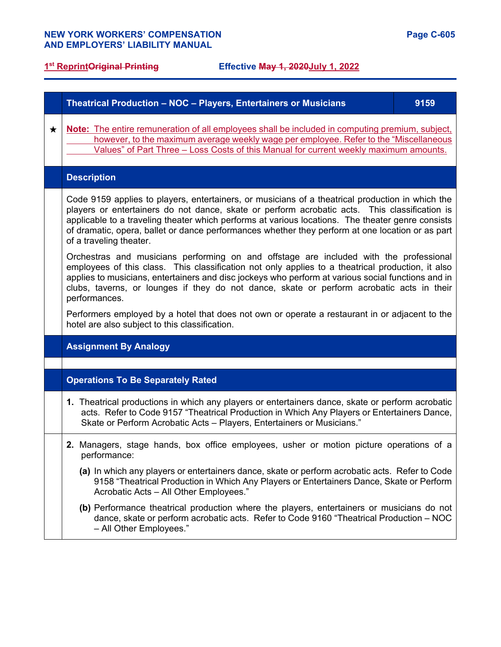## **NEW YORK WORKERS' COMPENSATION COMPRESS AND RESOLUTION CONSUMING A Page C-605 AND EMPLOYERS' LIABILITY MANUAL**

**1st ReprintOriginal Printing Effective May 1, 2020July 1, 2022** 

|                                                                                                                                                                                                                                                                                                                                                                                                                                       | Theatrical Production - NOC - Players, Entertainers or Musicians<br>9159                                                                                                                                                                                                          |  |  |  |
|---------------------------------------------------------------------------------------------------------------------------------------------------------------------------------------------------------------------------------------------------------------------------------------------------------------------------------------------------------------------------------------------------------------------------------------|-----------------------------------------------------------------------------------------------------------------------------------------------------------------------------------------------------------------------------------------------------------------------------------|--|--|--|
| $\bigstar$                                                                                                                                                                                                                                                                                                                                                                                                                            | Note: The entire remuneration of all employees shall be included in computing premium, subject,<br>however, to the maximum average weekly wage per employee. Refer to the "Miscellaneous<br>Values" of Part Three - Loss Costs of this Manual for current weekly maximum amounts. |  |  |  |
|                                                                                                                                                                                                                                                                                                                                                                                                                                       | <b>Description</b>                                                                                                                                                                                                                                                                |  |  |  |
| Code 9159 applies to players, entertainers, or musicians of a theatrical production in which the<br>players or entertainers do not dance, skate or perform acrobatic acts. This classification is<br>applicable to a traveling theater which performs at various locations. The theater genre consists<br>of dramatic, opera, ballet or dance performances whether they perform at one location or as part<br>of a traveling theater. |                                                                                                                                                                                                                                                                                   |  |  |  |
| Orchestras and musicians performing on and offstage are included with the professional<br>employees of this class. This classification not only applies to a theatrical production, it also<br>applies to musicians, entertainers and disc jockeys who perform at various social functions and in<br>clubs, taverns, or lounges if they do not dance, skate or perform acrobatic acts in their<br>performances.                       |                                                                                                                                                                                                                                                                                   |  |  |  |
|                                                                                                                                                                                                                                                                                                                                                                                                                                       | Performers employed by a hotel that does not own or operate a restaurant in or adjacent to the<br>hotel are also subject to this classification.                                                                                                                                  |  |  |  |
|                                                                                                                                                                                                                                                                                                                                                                                                                                       | <b>Assignment By Analogy</b>                                                                                                                                                                                                                                                      |  |  |  |
|                                                                                                                                                                                                                                                                                                                                                                                                                                       | <b>Operations To Be Separately Rated</b>                                                                                                                                                                                                                                          |  |  |  |
|                                                                                                                                                                                                                                                                                                                                                                                                                                       | 1. Theatrical productions in which any players or entertainers dance, skate or perform acrobatic<br>acts. Refer to Code 9157 "Theatrical Production in Which Any Players or Entertainers Dance,<br>Skate or Perform Acrobatic Acts - Players, Entertainers or Musicians."         |  |  |  |
|                                                                                                                                                                                                                                                                                                                                                                                                                                       | 2. Managers, stage hands, box office employees, usher or motion picture operations of a<br>performance:                                                                                                                                                                           |  |  |  |
|                                                                                                                                                                                                                                                                                                                                                                                                                                       | (a) In which any players or entertainers dance, skate or perform acrobatic acts. Refer to Code<br>9158 "Theatrical Production in Which Any Players or Entertainers Dance, Skate or Perform<br>Acrobatic Acts - All Other Employees."                                              |  |  |  |
|                                                                                                                                                                                                                                                                                                                                                                                                                                       | (b) Performance theatrical production where the players, entertainers or musicians do not<br>dance, skate or perform acrobatic acts. Refer to Code 9160 "Theatrical Production - NOC<br>- All Other Employees."                                                                   |  |  |  |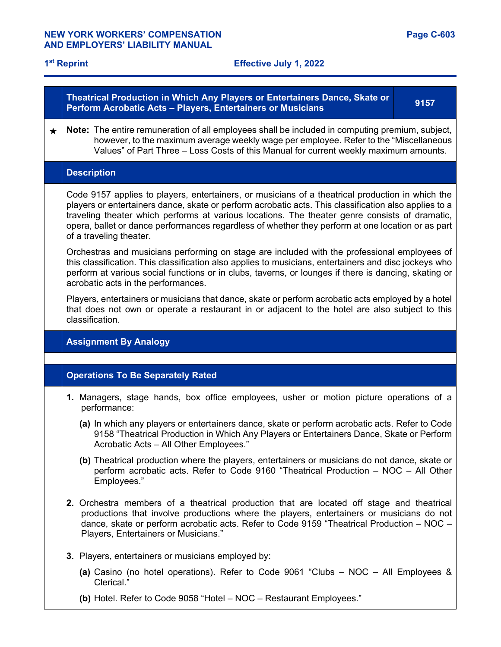### **NEW YORK WORKERS' COMPENSATION Page C-603 AND EMPLOYERS' LIABILITY MANUAL**

**1st Reprint Effective July 1, 2022**

|            | Theatrical Production in Which Any Players or Entertainers Dance, Skate or<br><b>Perform Acrobatic Acts - Players, Entertainers or Musicians</b>                                                                                                                                          | 9157 |  |  |
|------------|-------------------------------------------------------------------------------------------------------------------------------------------------------------------------------------------------------------------------------------------------------------------------------------------|------|--|--|
| $\bigstar$ | <b>Note:</b> The entire remuneration of all employees shall be included in computing premium, subject,<br>however, to the maximum average weekly wage per employee. Refer to the "Miscellaneous"<br>Values" of Part Three – Loss Costs of this Manual for current weekly maximum amounts. |      |  |  |
|            | <b>Description</b>                                                                                                                                                                                                                                                                        |      |  |  |
|            | Code 9157 applies to players, entertainers, or musicians of a theatrical production in which the                                                                                                                                                                                          |      |  |  |

Code 9157 applies to players, entertainers, or musicians of a theatrical production in which the players or entertainers dance, skate or perform acrobatic acts. This classification also applies to a traveling theater which performs at various locations. The theater genre consists of dramatic, opera, ballet or dance performances regardless of whether they perform at one location or as part of a traveling theater.

Orchestras and musicians performing on stage are included with the professional employees of this classification. This classification also applies to musicians, entertainers and disc jockeys who perform at various social functions or in clubs, taverns, or lounges if there is dancing, skating or acrobatic acts in the performances.

Players, entertainers or musicians that dance, skate or perform acrobatic acts employed by a hotel that does not own or operate a restaurant in or adjacent to the hotel are also subject to this classification.

### **Assignment By Analogy**

### **Operations To Be Separately Rated**

- **1.** Managers, stage hands, box office employees, usher or motion picture operations of a performance:
	- **(a)** In which any players or entertainers dance, skate or perform acrobatic acts. Refer to Code 9158 "Theatrical Production in Which Any Players or Entertainers Dance, Skate or Perform Acrobatic Acts – All Other Employees."
	- **(b)** Theatrical production where the players, entertainers or musicians do not dance, skate or perform acrobatic acts. Refer to Code 9160 "Theatrical Production – NOC – All Other Employees."
- **2.** Orchestra members of a theatrical production that are located off stage and theatrical productions that involve productions where the players, entertainers or musicians do not dance, skate or perform acrobatic acts. Refer to Code 9159 "Theatrical Production – NOC – Players, Entertainers or Musicians."
- **3.** Players, entertainers or musicians employed by:
	- **(a)** Casino (no hotel operations). Refer to Code 9061 "Clubs NOC All Employees & Clerical."
	- **(b)** Hotel. Refer to Code 9058 "Hotel NOC Restaurant Employees."